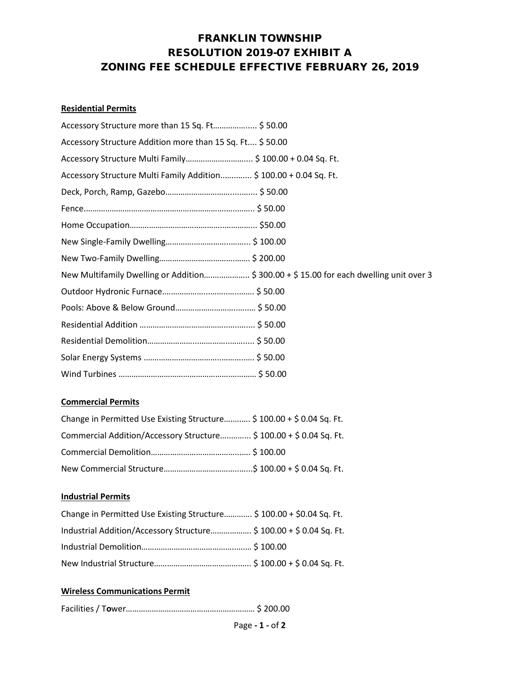# FRANKLIN TOWNSHIP RESOLUTION 2019-07 EXHIBIT A ZONING FEE SCHEDULE EFFECTIVE FEBRUARY 26, 2019

## **Residential Permits**

| Accessory Structure more than 15 Sq. Ft \$50.00                                        |
|----------------------------------------------------------------------------------------|
| Accessory Structure Addition more than 15 Sq. Ft \$50.00                               |
|                                                                                        |
| Accessory Structure Multi Family Addition \$100.00 + 0.04 Sq. Ft.                      |
|                                                                                        |
|                                                                                        |
|                                                                                        |
|                                                                                        |
|                                                                                        |
| New Multifamily Dwelling or Addition \$ 300.00 + \$15.00 for each dwelling unit over 3 |
|                                                                                        |
|                                                                                        |
|                                                                                        |
|                                                                                        |
|                                                                                        |
|                                                                                        |

### **Commercial Permits**

| Change in Permitted Use Existing Structure \$ 100.00 + \$ 0.04 Sq. Ft. |  |
|------------------------------------------------------------------------|--|
| Commercial Addition/Accessory Structure \$ 100.00 + \$ 0.04 Sq. Ft.    |  |
|                                                                        |  |
|                                                                        |  |

# **Industrial Permits**

| Change in Permitted Use Existing Structure \$ 100.00 + \$0.04 Sq. Ft. |  |
|-----------------------------------------------------------------------|--|
| Industrial Addition/Accessory Structure \$ 100.00 + \$ 0.04 Sq. Ft.   |  |
|                                                                       |  |
|                                                                       |  |

# **Wireless Communications Permit**

|--|--|

Page **- 1 -** of **2**